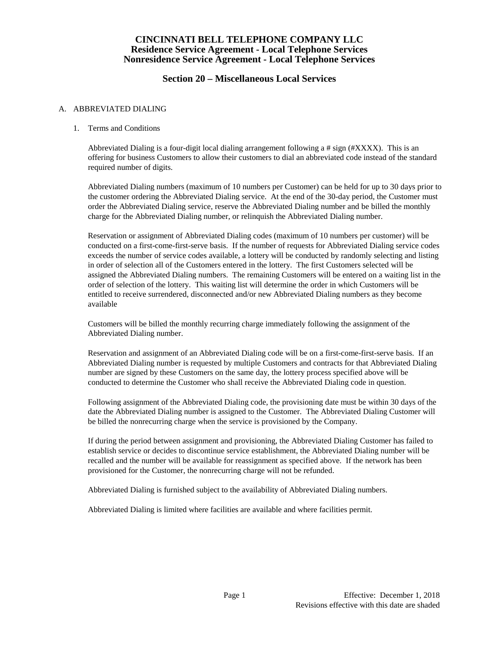## **Section 20 – Miscellaneous Local Services**

#### A. ABBREVIATED DIALING

### 1. Terms and Conditions

Abbreviated Dialing is a four-digit local dialing arrangement following a  $\#$  sign ( $\#XXXX$ ). This is an offering for business Customers to allow their customers to dial an abbreviated code instead of the standard required number of digits.

Abbreviated Dialing numbers (maximum of 10 numbers per Customer) can be held for up to 30 days prior to the customer ordering the Abbreviated Dialing service. At the end of the 30-day period, the Customer must order the Abbreviated Dialing service, reserve the Abbreviated Dialing number and be billed the monthly charge for the Abbreviated Dialing number, or relinquish the Abbreviated Dialing number.

Reservation or assignment of Abbreviated Dialing codes (maximum of 10 numbers per customer) will be conducted on a first-come-first-serve basis. If the number of requests for Abbreviated Dialing service codes exceeds the number of service codes available, a lottery will be conducted by randomly selecting and listing in order of selection all of the Customers entered in the lottery. The first Customers selected will be assigned the Abbreviated Dialing numbers. The remaining Customers will be entered on a waiting list in the order of selection of the lottery. This waiting list will determine the order in which Customers will be entitled to receive surrendered, disconnected and/or new Abbreviated Dialing numbers as they become available

Customers will be billed the monthly recurring charge immediately following the assignment of the Abbreviated Dialing number.

Reservation and assignment of an Abbreviated Dialing code will be on a first-come-first-serve basis. If an Abbreviated Dialing number is requested by multiple Customers and contracts for that Abbreviated Dialing number are signed by these Customers on the same day, the lottery process specified above will be conducted to determine the Customer who shall receive the Abbreviated Dialing code in question.

Following assignment of the Abbreviated Dialing code, the provisioning date must be within 30 days of the date the Abbreviated Dialing number is assigned to the Customer. The Abbreviated Dialing Customer will be billed the nonrecurring charge when the service is provisioned by the Company.

If during the period between assignment and provisioning, the Abbreviated Dialing Customer has failed to establish service or decides to discontinue service establishment, the Abbreviated Dialing number will be recalled and the number will be available for reassignment as specified above. If the network has been provisioned for the Customer, the nonrecurring charge will not be refunded.

Abbreviated Dialing is furnished subject to the availability of Abbreviated Dialing numbers.

Abbreviated Dialing is limited where facilities are available and where facilities permit.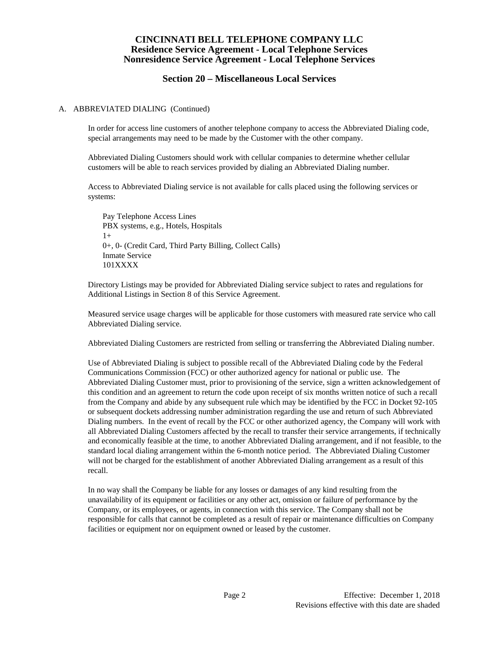## **Section 20 – Miscellaneous Local Services**

#### A. ABBREVIATED DIALING (Continued)

In order for access line customers of another telephone company to access the Abbreviated Dialing code, special arrangements may need to be made by the Customer with the other company.

Abbreviated Dialing Customers should work with cellular companies to determine whether cellular customers will be able to reach services provided by dialing an Abbreviated Dialing number.

Access to Abbreviated Dialing service is not available for calls placed using the following services or systems:

Pay Telephone Access Lines PBX systems, e.g., Hotels, Hospitals 1+ 0+, 0- (Credit Card, Third Party Billing, Collect Calls) Inmate Service 101XXXX

Directory Listings may be provided for Abbreviated Dialing service subject to rates and regulations for Additional Listings in Section 8 of this Service Agreement.

Measured service usage charges will be applicable for those customers with measured rate service who call Abbreviated Dialing service.

Abbreviated Dialing Customers are restricted from selling or transferring the Abbreviated Dialing number.

Use of Abbreviated Dialing is subject to possible recall of the Abbreviated Dialing code by the Federal Communications Commission (FCC) or other authorized agency for national or public use. The Abbreviated Dialing Customer must, prior to provisioning of the service, sign a written acknowledgement of this condition and an agreement to return the code upon receipt of six months written notice of such a recall from the Company and abide by any subsequent rule which may be identified by the FCC in Docket 92-105 or subsequent dockets addressing number administration regarding the use and return of such Abbreviated Dialing numbers. In the event of recall by the FCC or other authorized agency, the Company will work with all Abbreviated Dialing Customers affected by the recall to transfer their service arrangements, if technically and economically feasible at the time, to another Abbreviated Dialing arrangement, and if not feasible, to the standard local dialing arrangement within the 6-month notice period. The Abbreviated Dialing Customer will not be charged for the establishment of another Abbreviated Dialing arrangement as a result of this recall.

In no way shall the Company be liable for any losses or damages of any kind resulting from the unavailability of its equipment or facilities or any other act, omission or failure of performance by the Company, or its employees, or agents, in connection with this service. The Company shall not be responsible for calls that cannot be completed as a result of repair or maintenance difficulties on Company facilities or equipment nor on equipment owned or leased by the customer.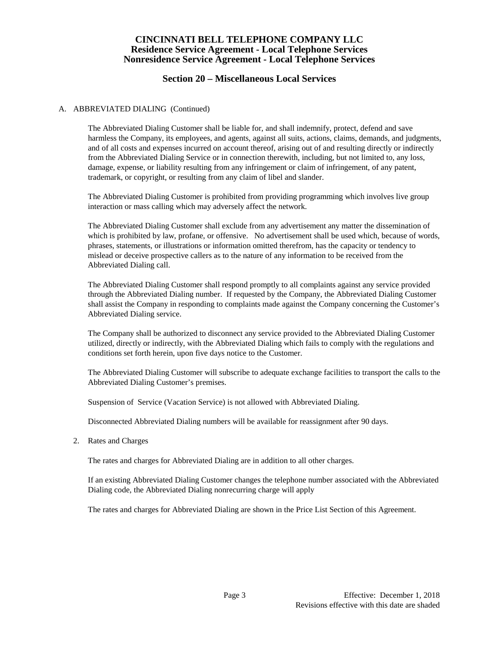## **Section 20 – Miscellaneous Local Services**

#### A. ABBREVIATED DIALING (Continued)

The Abbreviated Dialing Customer shall be liable for, and shall indemnify, protect, defend and save harmless the Company, its employees, and agents, against all suits, actions, claims, demands, and judgments, and of all costs and expenses incurred on account thereof, arising out of and resulting directly or indirectly from the Abbreviated Dialing Service or in connection therewith, including, but not limited to, any loss, damage, expense, or liability resulting from any infringement or claim of infringement, of any patent, trademark, or copyright, or resulting from any claim of libel and slander.

The Abbreviated Dialing Customer is prohibited from providing programming which involves live group interaction or mass calling which may adversely affect the network.

The Abbreviated Dialing Customer shall exclude from any advertisement any matter the dissemination of which is prohibited by law, profane, or offensive. No advertisement shall be used which, because of words, phrases, statements, or illustrations or information omitted therefrom, has the capacity or tendency to mislead or deceive prospective callers as to the nature of any information to be received from the Abbreviated Dialing call.

The Abbreviated Dialing Customer shall respond promptly to all complaints against any service provided through the Abbreviated Dialing number. If requested by the Company, the Abbreviated Dialing Customer shall assist the Company in responding to complaints made against the Company concerning the Customer's Abbreviated Dialing service.

The Company shall be authorized to disconnect any service provided to the Abbreviated Dialing Customer utilized, directly or indirectly, with the Abbreviated Dialing which fails to comply with the regulations and conditions set forth herein, upon five days notice to the Customer.

The Abbreviated Dialing Customer will subscribe to adequate exchange facilities to transport the calls to the Abbreviated Dialing Customer's premises.

Suspension of Service (Vacation Service) is not allowed with Abbreviated Dialing.

Disconnected Abbreviated Dialing numbers will be available for reassignment after 90 days.

2. Rates and Charges

The rates and charges for Abbreviated Dialing are in addition to all other charges.

If an existing Abbreviated Dialing Customer changes the telephone number associated with the Abbreviated Dialing code, the Abbreviated Dialing nonrecurring charge will apply

The rates and charges for Abbreviated Dialing are shown in the Price List Section of this Agreement.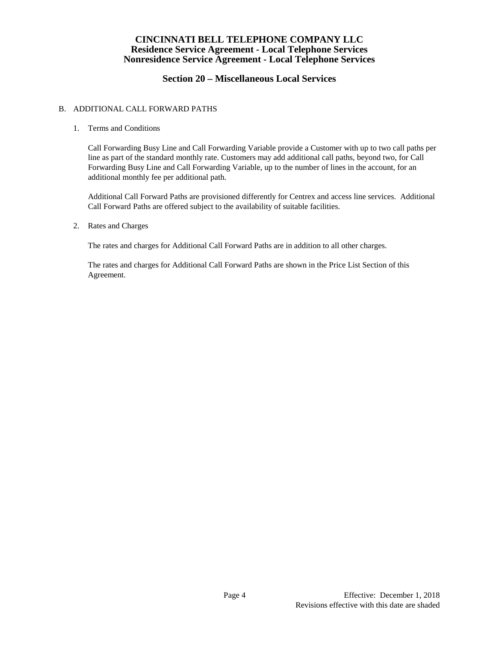# **Section 20 – Miscellaneous Local Services**

### B. ADDITIONAL CALL FORWARD PATHS

### 1. Terms and Conditions

Call Forwarding Busy Line and Call Forwarding Variable provide a Customer with up to two call paths per line as part of the standard monthly rate. Customers may add additional call paths, beyond two, for Call Forwarding Busy Line and Call Forwarding Variable, up to the number of lines in the account, for an additional monthly fee per additional path.

Additional Call Forward Paths are provisioned differently for Centrex and access line services. Additional Call Forward Paths are offered subject to the availability of suitable facilities.

#### 2. Rates and Charges

The rates and charges for Additional Call Forward Paths are in addition to all other charges.

The rates and charges for Additional Call Forward Paths are shown in the Price List Section of this Agreement.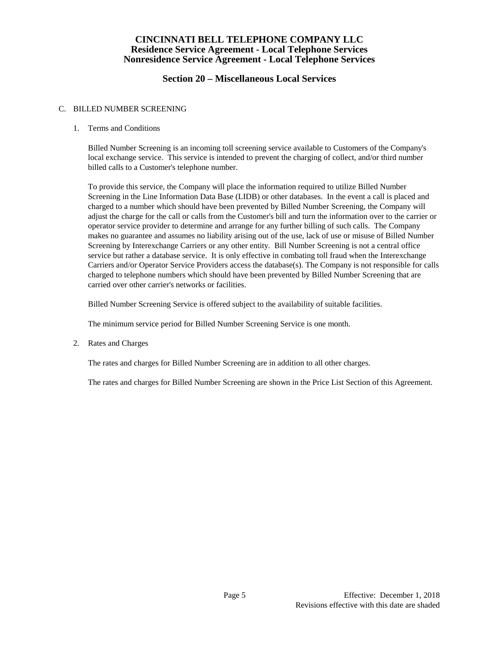## **Section 20 – Miscellaneous Local Services**

### C. BILLED NUMBER SCREENING

### 1. Terms and Conditions

Billed Number Screening is an incoming toll screening service available to Customers of the Company's local exchange service. This service is intended to prevent the charging of collect, and/or third number billed calls to a Customer's telephone number.

To provide this service, the Company will place the information required to utilize Billed Number Screening in the Line Information Data Base (LIDB) or other databases. In the event a call is placed and charged to a number which should have been prevented by Billed Number Screening, the Company will adjust the charge for the call or calls from the Customer's bill and turn the information over to the carrier or operator service provider to determine and arrange for any further billing of such calls. The Company makes no guarantee and assumes no liability arising out of the use, lack of use or misuse of Billed Number Screening by Interexchange Carriers or any other entity. Bill Number Screening is not a central office service but rather a database service. It is only effective in combating toll fraud when the Interexchange Carriers and/or Operator Service Providers access the database(s). The Company is not responsible for calls charged to telephone numbers which should have been prevented by Billed Number Screening that are carried over other carrier's networks or facilities.

Billed Number Screening Service is offered subject to the availability of suitable facilities.

The minimum service period for Billed Number Screening Service is one month.

2. Rates and Charges

The rates and charges for Billed Number Screening are in addition to all other charges.

The rates and charges for Billed Number Screening are shown in the Price List Section of this Agreement.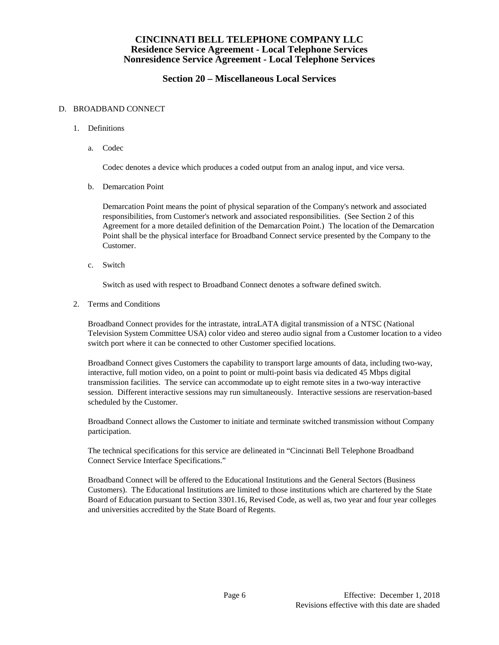# **Section 20 – Miscellaneous Local Services**

#### D. BROADBAND CONNECT

- 1. Definitions
	- a. Codec

Codec denotes a device which produces a coded output from an analog input, and vice versa.

b. Demarcation Point

Demarcation Point means the point of physical separation of the Company's network and associated responsibilities, from Customer's network and associated responsibilities. (See Section 2 of this Agreement for a more detailed definition of the Demarcation Point.) The location of the Demarcation Point shall be the physical interface for Broadband Connect service presented by the Company to the Customer.

c. Switch

Switch as used with respect to Broadband Connect denotes a software defined switch.

2. Terms and Conditions

Broadband Connect provides for the intrastate, intraLATA digital transmission of a NTSC (National Television System Committee USA) color video and stereo audio signal from a Customer location to a video switch port where it can be connected to other Customer specified locations.

Broadband Connect gives Customers the capability to transport large amounts of data, including two-way, interactive, full motion video, on a point to point or multi-point basis via dedicated 45 Mbps digital transmission facilities. The service can accommodate up to eight remote sites in a two-way interactive session. Different interactive sessions may run simultaneously. Interactive sessions are reservation-based scheduled by the Customer.

Broadband Connect allows the Customer to initiate and terminate switched transmission without Company participation.

The technical specifications for this service are delineated in "Cincinnati Bell Telephone Broadband Connect Service Interface Specifications."

Broadband Connect will be offered to the Educational Institutions and the General Sectors (Business Customers). The Educational Institutions are limited to those institutions which are chartered by the State Board of Education pursuant to Section 3301.16, Revised Code, as well as, two year and four year colleges and universities accredited by the State Board of Regents.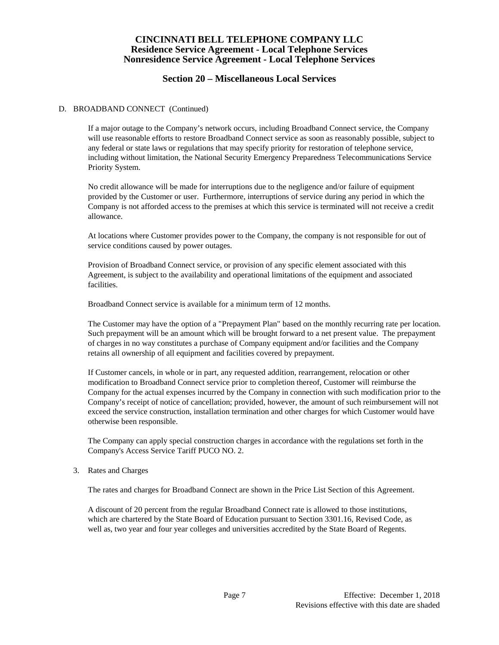## **Section 20 – Miscellaneous Local Services**

#### D. BROADBAND CONNECT (Continued)

If a major outage to the Company's network occurs, including Broadband Connect service, the Company will use reasonable efforts to restore Broadband Connect service as soon as reasonably possible, subject to any federal or state laws or regulations that may specify priority for restoration of telephone service, including without limitation, the National Security Emergency Preparedness Telecommunications Service Priority System.

No credit allowance will be made for interruptions due to the negligence and/or failure of equipment provided by the Customer or user. Furthermore, interruptions of service during any period in which the Company is not afforded access to the premises at which this service is terminated will not receive a credit allowance.

At locations where Customer provides power to the Company, the company is not responsible for out of service conditions caused by power outages.

Provision of Broadband Connect service, or provision of any specific element associated with this Agreement, is subject to the availability and operational limitations of the equipment and associated facilities.

Broadband Connect service is available for a minimum term of 12 months.

The Customer may have the option of a "Prepayment Plan" based on the monthly recurring rate per location. Such prepayment will be an amount which will be brought forward to a net present value. The prepayment of charges in no way constitutes a purchase of Company equipment and/or facilities and the Company retains all ownership of all equipment and facilities covered by prepayment.

If Customer cancels, in whole or in part, any requested addition, rearrangement, relocation or other modification to Broadband Connect service prior to completion thereof, Customer will reimburse the Company for the actual expenses incurred by the Company in connection with such modification prior to the Company's receipt of notice of cancellation; provided, however, the amount of such reimbursement will not exceed the service construction, installation termination and other charges for which Customer would have otherwise been responsible.

The Company can apply special construction charges in accordance with the regulations set forth in the Company's Access Service Tariff PUCO NO. 2.

#### 3. Rates and Charges

The rates and charges for Broadband Connect are shown in the Price List Section of this Agreement.

A discount of 20 percent from the regular Broadband Connect rate is allowed to those institutions, which are chartered by the State Board of Education pursuant to Section 3301.16, Revised Code, as well as, two year and four year colleges and universities accredited by the State Board of Regents.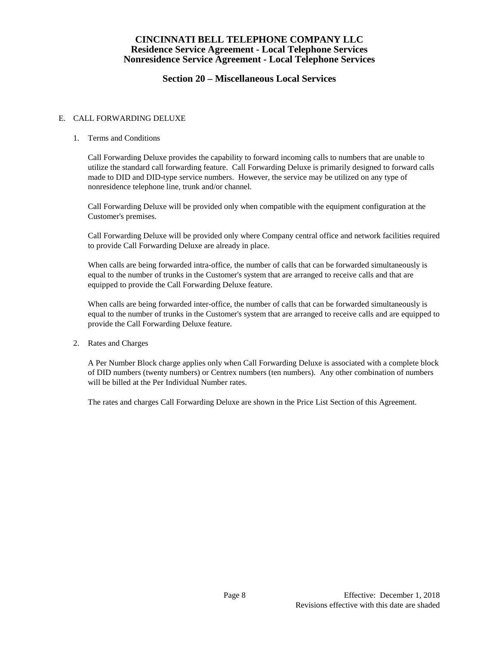## **Section 20 – Miscellaneous Local Services**

### E. CALL FORWARDING DELUXE

### 1. Terms and Conditions

Call Forwarding Deluxe provides the capability to forward incoming calls to numbers that are unable to utilize the standard call forwarding feature. Call Forwarding Deluxe is primarily designed to forward calls made to DID and DID-type service numbers. However, the service may be utilized on any type of nonresidence telephone line, trunk and/or channel.

Call Forwarding Deluxe will be provided only when compatible with the equipment configuration at the Customer's premises.

Call Forwarding Deluxe will be provided only where Company central office and network facilities required to provide Call Forwarding Deluxe are already in place.

When calls are being forwarded intra-office, the number of calls that can be forwarded simultaneously is equal to the number of trunks in the Customer's system that are arranged to receive calls and that are equipped to provide the Call Forwarding Deluxe feature.

When calls are being forwarded inter-office, the number of calls that can be forwarded simultaneously is equal to the number of trunks in the Customer's system that are arranged to receive calls and are equipped to provide the Call Forwarding Deluxe feature.

2. Rates and Charges

A Per Number Block charge applies only when Call Forwarding Deluxe is associated with a complete block of DID numbers (twenty numbers) or Centrex numbers (ten numbers). Any other combination of numbers will be billed at the Per Individual Number rates.

The rates and charges Call Forwarding Deluxe are shown in the Price List Section of this Agreement.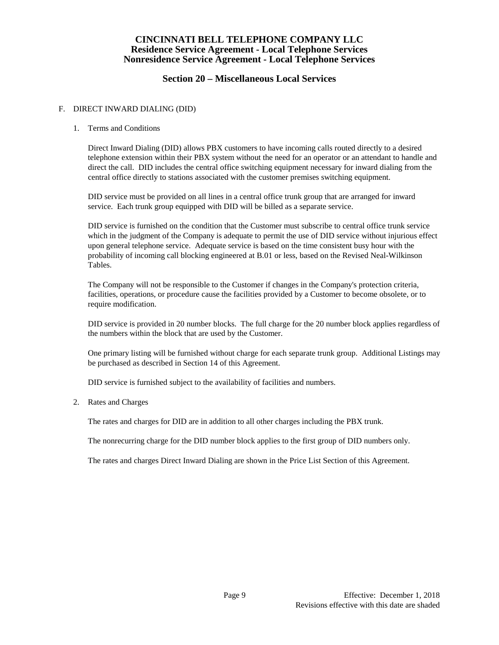# **Section 20 – Miscellaneous Local Services**

### F. DIRECT INWARD DIALING (DID)

### 1. Terms and Conditions

Direct Inward Dialing (DID) allows PBX customers to have incoming calls routed directly to a desired telephone extension within their PBX system without the need for an operator or an attendant to handle and direct the call. DID includes the central office switching equipment necessary for inward dialing from the central office directly to stations associated with the customer premises switching equipment.

DID service must be provided on all lines in a central office trunk group that are arranged for inward service. Each trunk group equipped with DID will be billed as a separate service.

DID service is furnished on the condition that the Customer must subscribe to central office trunk service which in the judgment of the Company is adequate to permit the use of DID service without injurious effect upon general telephone service. Adequate service is based on the time consistent busy hour with the probability of incoming call blocking engineered at B.01 or less, based on the Revised Neal-Wilkinson Tables.

The Company will not be responsible to the Customer if changes in the Company's protection criteria, facilities, operations, or procedure cause the facilities provided by a Customer to become obsolete, or to require modification.

DID service is provided in 20 number blocks. The full charge for the 20 number block applies regardless of the numbers within the block that are used by the Customer.

One primary listing will be furnished without charge for each separate trunk group. Additional Listings may be purchased as described in Section 14 of this Agreement.

DID service is furnished subject to the availability of facilities and numbers.

#### 2. Rates and Charges

The rates and charges for DID are in addition to all other charges including the PBX trunk.

The nonrecurring charge for the DID number block applies to the first group of DID numbers only.

The rates and charges Direct Inward Dialing are shown in the Price List Section of this Agreement.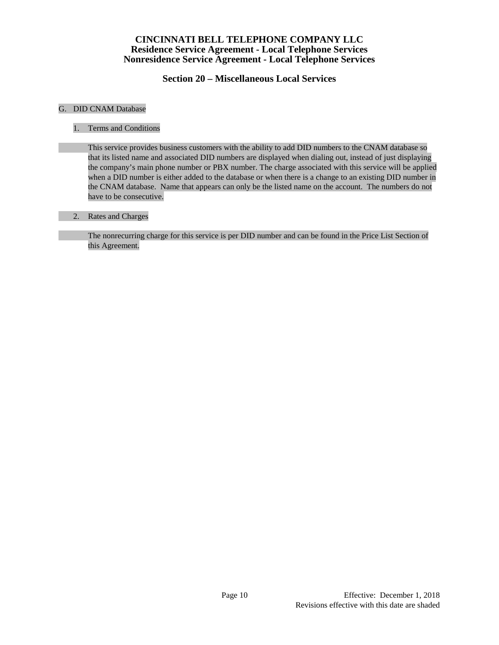**Section 20 – Miscellaneous Local Services**

#### G. DID CNAM Database

1. Terms and Conditions

This service provides business customers with the ability to add DID numbers to the CNAM database so that its listed name and associated DID numbers are displayed when dialing out, instead of just displaying the company's main phone number or PBX number. The charge associated with this service will be applied when a DID number is either added to the database or when there is a change to an existing DID number in the CNAM database. Name that appears can only be the listed name on the account. The numbers do not have to be consecutive.

### 2. Rates and Charges

The nonrecurring charge for this service is per DID number and can be found in the Price List Section of this Agreement.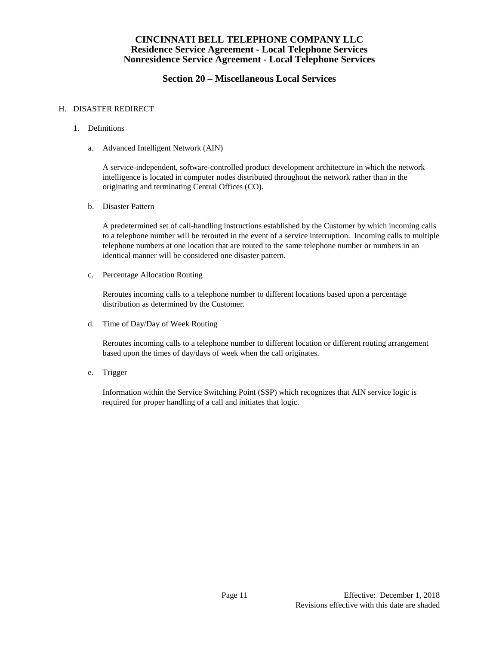## **Section 20 – Miscellaneous Local Services**

#### H. DISASTER REDIRECT

- 1. Definitions
	- a. Advanced Intelligent Network (AIN)

A service-independent, software-controlled product development architecture in which the network intelligence is located in computer nodes distributed throughout the network rather than in the originating and terminating Central Offices (CO).

b. Disaster Pattern

A predetermined set of call-handling instructions established by the Customer by which incoming calls to a telephone number will be rerouted in the event of a service interruption. Incoming calls to multiple telephone numbers at one location that are routed to the same telephone number or numbers in an identical manner will be considered one disaster pattern.

c. Percentage Allocation Routing

Reroutes incoming calls to a telephone number to different locations based upon a percentage distribution as determined by the Customer.

d. Time of Day/Day of Week Routing

Reroutes incoming calls to a telephone number to different location or different routing arrangement based upon the times of day/days of week when the call originates.

e. Trigger

Information within the Service Switching Point (SSP) which recognizes that AIN service logic is required for proper handling of a call and initiates that logic.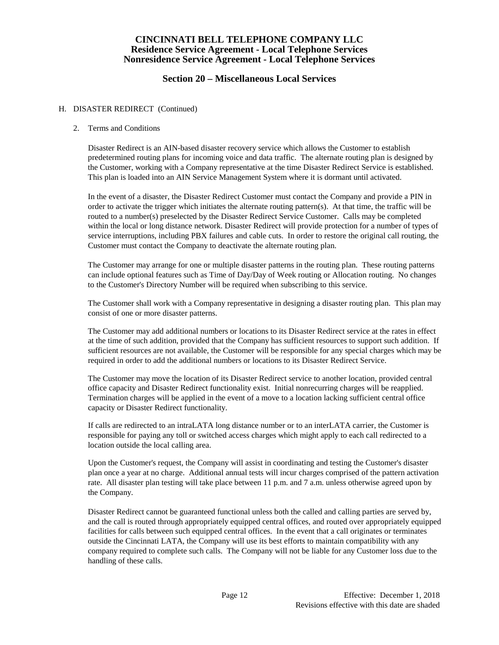## **Section 20 – Miscellaneous Local Services**

#### H. DISASTER REDIRECT (Continued)

#### 2. Terms and Conditions

Disaster Redirect is an AIN-based disaster recovery service which allows the Customer to establish predetermined routing plans for incoming voice and data traffic. The alternate routing plan is designed by the Customer, working with a Company representative at the time Disaster Redirect Service is established. This plan is loaded into an AIN Service Management System where it is dormant until activated.

In the event of a disaster, the Disaster Redirect Customer must contact the Company and provide a PIN in order to activate the trigger which initiates the alternate routing pattern(s). At that time, the traffic will be routed to a number(s) preselected by the Disaster Redirect Service Customer. Calls may be completed within the local or long distance network. Disaster Redirect will provide protection for a number of types of service interruptions, including PBX failures and cable cuts. In order to restore the original call routing, the Customer must contact the Company to deactivate the alternate routing plan.

The Customer may arrange for one or multiple disaster patterns in the routing plan. These routing patterns can include optional features such as Time of Day/Day of Week routing or Allocation routing. No changes to the Customer's Directory Number will be required when subscribing to this service.

The Customer shall work with a Company representative in designing a disaster routing plan. This plan may consist of one or more disaster patterns.

The Customer may add additional numbers or locations to its Disaster Redirect service at the rates in effect at the time of such addition, provided that the Company has sufficient resources to support such addition. If sufficient resources are not available, the Customer will be responsible for any special charges which may be required in order to add the additional numbers or locations to its Disaster Redirect Service.

The Customer may move the location of its Disaster Redirect service to another location, provided central office capacity and Disaster Redirect functionality exist. Initial nonrecurring charges will be reapplied. Termination charges will be applied in the event of a move to a location lacking sufficient central office capacity or Disaster Redirect functionality.

If calls are redirected to an intraLATA long distance number or to an interLATA carrier, the Customer is responsible for paying any toll or switched access charges which might apply to each call redirected to a location outside the local calling area.

Upon the Customer's request, the Company will assist in coordinating and testing the Customer's disaster plan once a year at no charge. Additional annual tests will incur charges comprised of the pattern activation rate. All disaster plan testing will take place between 11 p.m. and 7 a.m. unless otherwise agreed upon by the Company.

Disaster Redirect cannot be guaranteed functional unless both the called and calling parties are served by, and the call is routed through appropriately equipped central offices, and routed over appropriately equipped facilities for calls between such equipped central offices. In the event that a call originates or terminates outside the Cincinnati LATA, the Company will use its best efforts to maintain compatibility with any company required to complete such calls. The Company will not be liable for any Customer loss due to the handling of these calls.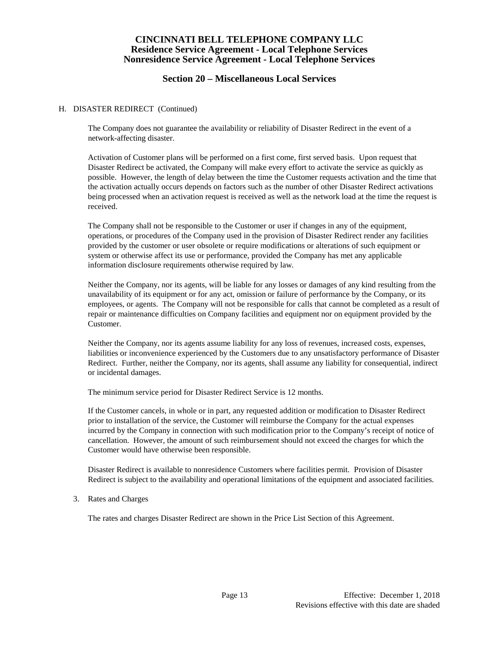## **Section 20 – Miscellaneous Local Services**

#### H. DISASTER REDIRECT (Continued)

The Company does not guarantee the availability or reliability of Disaster Redirect in the event of a network-affecting disaster.

Activation of Customer plans will be performed on a first come, first served basis. Upon request that Disaster Redirect be activated, the Company will make every effort to activate the service as quickly as possible. However, the length of delay between the time the Customer requests activation and the time that the activation actually occurs depends on factors such as the number of other Disaster Redirect activations being processed when an activation request is received as well as the network load at the time the request is received.

The Company shall not be responsible to the Customer or user if changes in any of the equipment, operations, or procedures of the Company used in the provision of Disaster Redirect render any facilities provided by the customer or user obsolete or require modifications or alterations of such equipment or system or otherwise affect its use or performance, provided the Company has met any applicable information disclosure requirements otherwise required by law.

Neither the Company, nor its agents, will be liable for any losses or damages of any kind resulting from the unavailability of its equipment or for any act, omission or failure of performance by the Company, or its employees, or agents. The Company will not be responsible for calls that cannot be completed as a result of repair or maintenance difficulties on Company facilities and equipment nor on equipment provided by the Customer.

Neither the Company, nor its agents assume liability for any loss of revenues, increased costs, expenses, liabilities or inconvenience experienced by the Customers due to any unsatisfactory performance of Disaster Redirect. Further, neither the Company, nor its agents, shall assume any liability for consequential, indirect or incidental damages.

The minimum service period for Disaster Redirect Service is 12 months.

If the Customer cancels, in whole or in part, any requested addition or modification to Disaster Redirect prior to installation of the service, the Customer will reimburse the Company for the actual expenses incurred by the Company in connection with such modification prior to the Company's receipt of notice of cancellation. However, the amount of such reimbursement should not exceed the charges for which the Customer would have otherwise been responsible.

Disaster Redirect is available to nonresidence Customers where facilities permit. Provision of Disaster Redirect is subject to the availability and operational limitations of the equipment and associated facilities.

3. Rates and Charges

The rates and charges Disaster Redirect are shown in the Price List Section of this Agreement.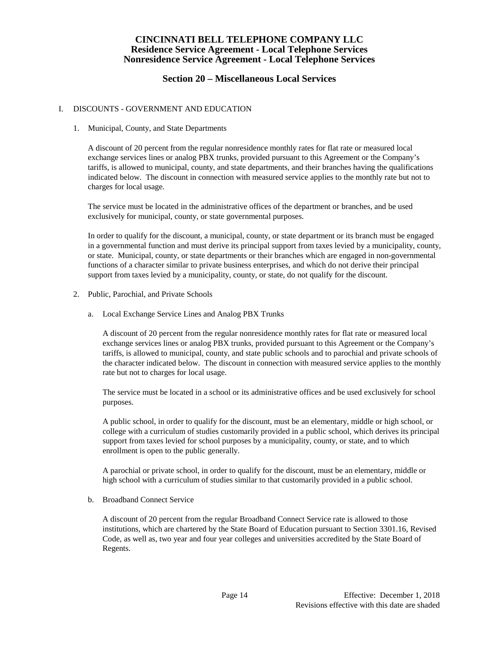## **Section 20 – Miscellaneous Local Services**

### I. DISCOUNTS - GOVERNMENT AND EDUCATION

#### 1. Municipal, County, and State Departments

A discount of 20 percent from the regular nonresidence monthly rates for flat rate or measured local exchange services lines or analog PBX trunks, provided pursuant to this Agreement or the Company's tariffs, is allowed to municipal, county, and state departments, and their branches having the qualifications indicated below. The discount in connection with measured service applies to the monthly rate but not to charges for local usage.

The service must be located in the administrative offices of the department or branches, and be used exclusively for municipal, county, or state governmental purposes.

In order to qualify for the discount, a municipal, county, or state department or its branch must be engaged in a governmental function and must derive its principal support from taxes levied by a municipality, county, or state. Municipal, county, or state departments or their branches which are engaged in non-governmental functions of a character similar to private business enterprises, and which do not derive their principal support from taxes levied by a municipality, county, or state, do not qualify for the discount.

- 2. Public, Parochial, and Private Schools
	- a. Local Exchange Service Lines and Analog PBX Trunks

A discount of 20 percent from the regular nonresidence monthly rates for flat rate or measured local exchange services lines or analog PBX trunks, provided pursuant to this Agreement or the Company's tariffs, is allowed to municipal, county, and state public schools and to parochial and private schools of the character indicated below. The discount in connection with measured service applies to the monthly rate but not to charges for local usage.

The service must be located in a school or its administrative offices and be used exclusively for school purposes.

A public school, in order to qualify for the discount, must be an elementary, middle or high school, or college with a curriculum of studies customarily provided in a public school, which derives its principal support from taxes levied for school purposes by a municipality, county, or state, and to which enrollment is open to the public generally.

A parochial or private school, in order to qualify for the discount, must be an elementary, middle or high school with a curriculum of studies similar to that customarily provided in a public school.

b. Broadband Connect Service

A discount of 20 percent from the regular Broadband Connect Service rate is allowed to those institutions, which are chartered by the State Board of Education pursuant to Section 3301.16, Revised Code, as well as, two year and four year colleges and universities accredited by the State Board of Regents.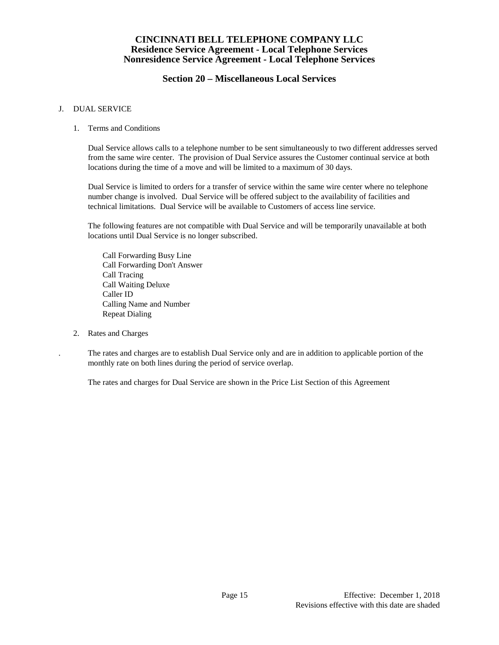## **Section 20 – Miscellaneous Local Services**

#### J. DUAL SERVICE

#### 1. Terms and Conditions

Dual Service allows calls to a telephone number to be sent simultaneously to two different addresses served from the same wire center. The provision of Dual Service assures the Customer continual service at both locations during the time of a move and will be limited to a maximum of 30 days.

Dual Service is limited to orders for a transfer of service within the same wire center where no telephone number change is involved. Dual Service will be offered subject to the availability of facilities and technical limitations. Dual Service will be available to Customers of access line service.

The following features are not compatible with Dual Service and will be temporarily unavailable at both locations until Dual Service is no longer subscribed.

Call Forwarding Busy Line Call Forwarding Don't Answer Call Tracing Call Waiting Deluxe Caller ID Calling Name and Number Repeat Dialing

2. Rates and Charges

. The rates and charges are to establish Dual Service only and are in addition to applicable portion of the monthly rate on both lines during the period of service overlap.

The rates and charges for Dual Service are shown in the Price List Section of this Agreement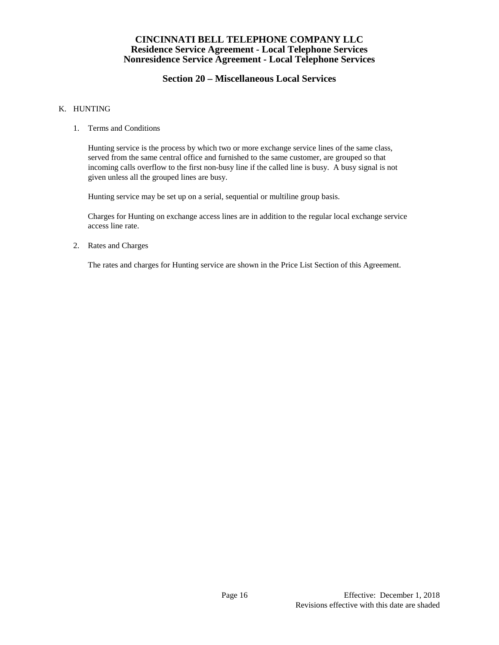# **Section 20 – Miscellaneous Local Services**

### K. HUNTING

1. Terms and Conditions

Hunting service is the process by which two or more exchange service lines of the same class, served from the same central office and furnished to the same customer, are grouped so that incoming calls overflow to the first non-busy line if the called line is busy. A busy signal is not given unless all the grouped lines are busy.

Hunting service may be set up on a serial, sequential or multiline group basis.

Charges for Hunting on exchange access lines are in addition to the regular local exchange service access line rate.

2. Rates and Charges

The rates and charges for Hunting service are shown in the Price List Section of this Agreement.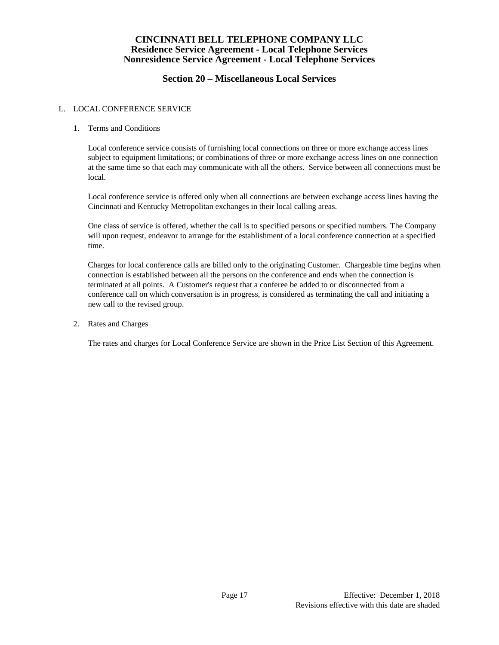# **Section 20 – Miscellaneous Local Services**

### L. LOCAL CONFERENCE SERVICE

### 1. Terms and Conditions

Local conference service consists of furnishing local connections on three or more exchange access lines subject to equipment limitations; or combinations of three or more exchange access lines on one connection at the same time so that each may communicate with all the others. Service between all connections must be local.

Local conference service is offered only when all connections are between exchange access lines having the Cincinnati and Kentucky Metropolitan exchanges in their local calling areas.

One class of service is offered, whether the call is to specified persons or specified numbers. The Company will upon request, endeavor to arrange for the establishment of a local conference connection at a specified time.

Charges for local conference calls are billed only to the originating Customer. Chargeable time begins when connection is established between all the persons on the conference and ends when the connection is terminated at all points. A Customer's request that a conferee be added to or disconnected from a conference call on which conversation is in progress, is considered as terminating the call and initiating a new call to the revised group.

2. Rates and Charges

The rates and charges for Local Conference Service are shown in the Price List Section of this Agreement.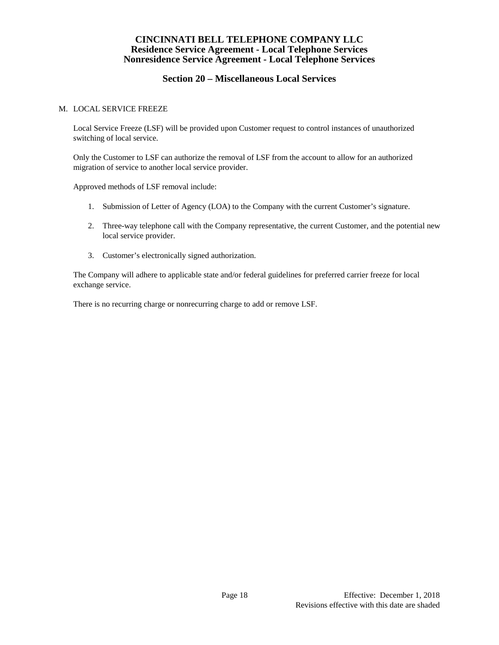# **Section 20 – Miscellaneous Local Services**

#### M. LOCAL SERVICE FREEZE

Local Service Freeze (LSF) will be provided upon Customer request to control instances of unauthorized switching of local service.

Only the Customer to LSF can authorize the removal of LSF from the account to allow for an authorized migration of service to another local service provider.

Approved methods of LSF removal include:

- 1. Submission of Letter of Agency (LOA) to the Company with the current Customer's signature.
- 2. Three-way telephone call with the Company representative, the current Customer, and the potential new local service provider.
- 3. Customer's electronically signed authorization.

The Company will adhere to applicable state and/or federal guidelines for preferred carrier freeze for local exchange service.

There is no recurring charge or nonrecurring charge to add or remove LSF.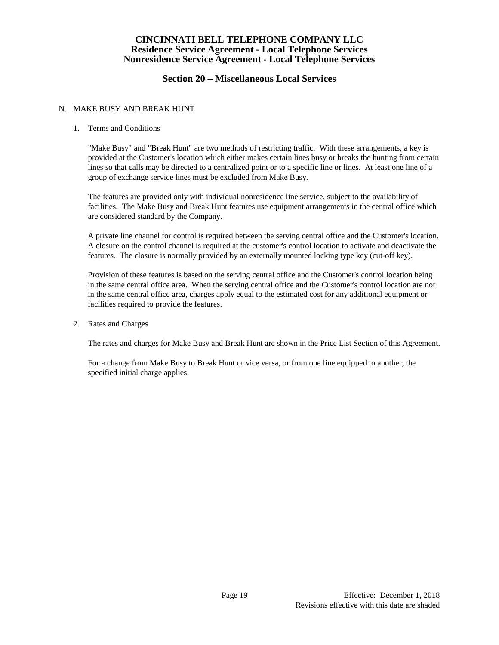## **Section 20 – Miscellaneous Local Services**

### N. MAKE BUSY AND BREAK HUNT

#### 1. Terms and Conditions

"Make Busy" and "Break Hunt" are two methods of restricting traffic. With these arrangements, a key is provided at the Customer's location which either makes certain lines busy or breaks the hunting from certain lines so that calls may be directed to a centralized point or to a specific line or lines. At least one line of a group of exchange service lines must be excluded from Make Busy.

The features are provided only with individual nonresidence line service, subject to the availability of facilities. The Make Busy and Break Hunt features use equipment arrangements in the central office which are considered standard by the Company.

A private line channel for control is required between the serving central office and the Customer's location. A closure on the control channel is required at the customer's control location to activate and deactivate the features. The closure is normally provided by an externally mounted locking type key (cut-off key).

Provision of these features is based on the serving central office and the Customer's control location being in the same central office area. When the serving central office and the Customer's control location are not in the same central office area, charges apply equal to the estimated cost for any additional equipment or facilities required to provide the features.

2. Rates and Charges

The rates and charges for Make Busy and Break Hunt are shown in the Price List Section of this Agreement.

For a change from Make Busy to Break Hunt or vice versa, or from one line equipped to another, the specified initial charge applies.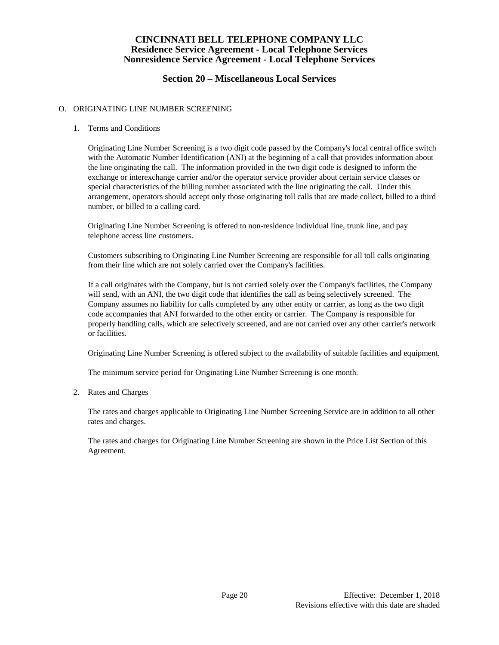# **Section 20 – Miscellaneous Local Services**

### O. ORIGINATING LINE NUMBER SCREENING

1. Terms and Conditions

Originating Line Number Screening is a two digit code passed by the Company's local central office switch with the Automatic Number Identification (ANI) at the beginning of a call that provides information about the line originating the call. The information provided in the two digit code is designed to inform the exchange or interexchange carrier and/or the operator service provider about certain service classes or special characteristics of the billing number associated with the line originating the call. Under this arrangement, operators should accept only those originating toll calls that are made collect, billed to a third number, or billed to a calling card.

Originating Line Number Screening is offered to non-residence individual line, trunk line, and pay telephone access line customers.

Customers subscribing to Originating Line Number Screening are responsible for all toll calls originating from their line which are not solely carried over the Company's facilities.

If a call originates with the Company, but is not carried solely over the Company's facilities, the Company will send, with an ANI, the two digit code that identifies the call as being selectively screened. The Company assumes no liability for calls completed by any other entity or carrier, as long as the two digit code accompanies that ANI forwarded to the other entity or carrier. The Company is responsible for properly handling calls, which are selectively screened, and are not carried over any other carrier's network or facilities.

Originating Line Number Screening is offered subject to the availability of suitable facilities and equipment.

The minimum service period for Originating Line Number Screening is one month.

2. Rates and Charges

The rates and charges applicable to Originating Line Number Screening Service are in addition to all other rates and charges.

The rates and charges for Originating Line Number Screening are shown in the Price List Section of this Agreement.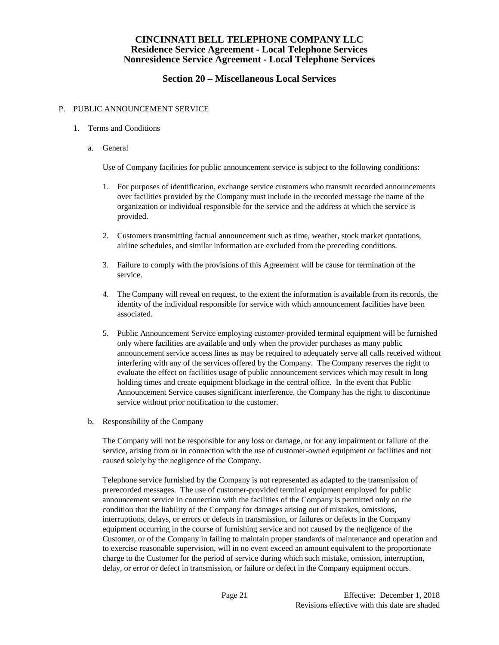# **Section 20 – Miscellaneous Local Services**

#### P. PUBLIC ANNOUNCEMENT SERVICE

- 1. Terms and Conditions
	- a. General

Use of Company facilities for public announcement service is subject to the following conditions:

- 1. For purposes of identification, exchange service customers who transmit recorded announcements over facilities provided by the Company must include in the recorded message the name of the organization or individual responsible for the service and the address at which the service is provided.
- 2. Customers transmitting factual announcement such as time, weather, stock market quotations, airline schedules, and similar information are excluded from the preceding conditions.
- 3. Failure to comply with the provisions of this Agreement will be cause for termination of the service.
- 4. The Company will reveal on request, to the extent the information is available from its records, the identity of the individual responsible for service with which announcement facilities have been associated.
- 5. Public Announcement Service employing customer-provided terminal equipment will be furnished only where facilities are available and only when the provider purchases as many public announcement service access lines as may be required to adequately serve all calls received without interfering with any of the services offered by the Company. The Company reserves the right to evaluate the effect on facilities usage of public announcement services which may result in long holding times and create equipment blockage in the central office. In the event that Public Announcement Service causes significant interference, the Company has the right to discontinue service without prior notification to the customer.
- b. Responsibility of the Company

The Company will not be responsible for any loss or damage, or for any impairment or failure of the service, arising from or in connection with the use of customer-owned equipment or facilities and not caused solely by the negligence of the Company.

Telephone service furnished by the Company is not represented as adapted to the transmission of prerecorded messages. The use of customer-provided terminal equipment employed for public announcement service in connection with the facilities of the Company is permitted only on the condition that the liability of the Company for damages arising out of mistakes, omissions, interruptions, delays, or errors or defects in transmission, or failures or defects in the Company equipment occurring in the course of furnishing service and not caused by the negligence of the Customer, or of the Company in failing to maintain proper standards of maintenance and operation and to exercise reasonable supervision, will in no event exceed an amount equivalent to the proportionate charge to the Customer for the period of service during which such mistake, omission, interruption, delay, or error or defect in transmission, or failure or defect in the Company equipment occurs.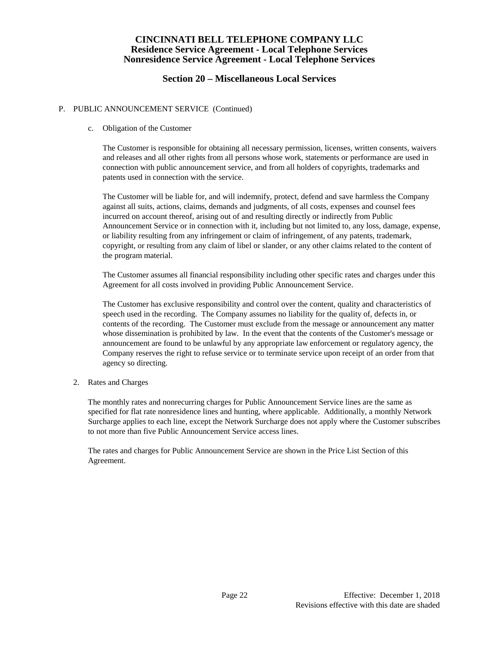## **Section 20 – Miscellaneous Local Services**

### P. PUBLIC ANNOUNCEMENT SERVICE (Continued)

#### c. Obligation of the Customer

 The Customer is responsible for obtaining all necessary permission, licenses, written consents, waivers and releases and all other rights from all persons whose work, statements or performance are used in connection with public announcement service, and from all holders of copyrights, trademarks and patents used in connection with the service.

 The Customer will be liable for, and will indemnify, protect, defend and save harmless the Company against all suits, actions, claims, demands and judgments, of all costs, expenses and counsel fees incurred on account thereof, arising out of and resulting directly or indirectly from Public Announcement Service or in connection with it, including but not limited to, any loss, damage, expense, or liability resulting from any infringement or claim of infringement, of any patents, trademark, copyright, or resulting from any claim of libel or slander, or any other claims related to the content of the program material.

 The Customer assumes all financial responsibility including other specific rates and charges under this Agreement for all costs involved in providing Public Announcement Service.

 The Customer has exclusive responsibility and control over the content, quality and characteristics of speech used in the recording. The Company assumes no liability for the quality of, defects in, or contents of the recording. The Customer must exclude from the message or announcement any matter whose dissemination is prohibited by law. In the event that the contents of the Customer's message or announcement are found to be unlawful by any appropriate law enforcement or regulatory agency, the Company reserves the right to refuse service or to terminate service upon receipt of an order from that agency so directing.

#### 2. Rates and Charges

The monthly rates and nonrecurring charges for Public Announcement Service lines are the same as specified for flat rate nonresidence lines and hunting, where applicable. Additionally, a monthly Network Surcharge applies to each line, except the Network Surcharge does not apply where the Customer subscribes to not more than five Public Announcement Service access lines.

The rates and charges for Public Announcement Service are shown in the Price List Section of this Agreement.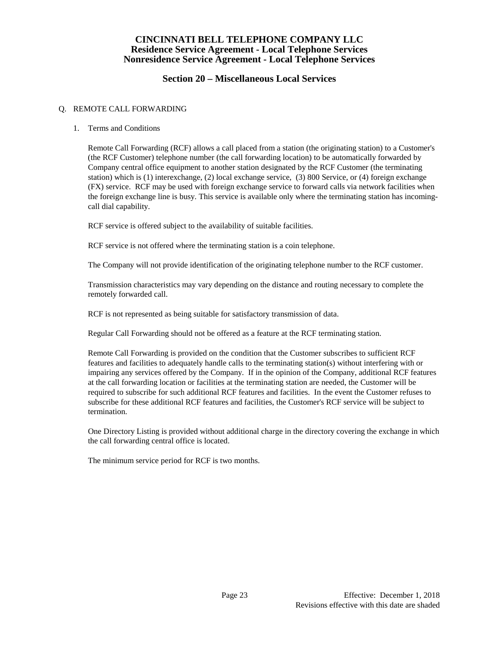# **Section 20 – Miscellaneous Local Services**

### Q. REMOTE CALL FORWARDING

1. Terms and Conditions

Remote Call Forwarding (RCF) allows a call placed from a station (the originating station) to a Customer's (the RCF Customer) telephone number (the call forwarding location) to be automatically forwarded by Company central office equipment to another station designated by the RCF Customer (the terminating station) which is (1) interexchange, (2) local exchange service, (3) 800 Service, or (4) foreign exchange (FX) service. RCF may be used with foreign exchange service to forward calls via network facilities when the foreign exchange line is busy. This service is available only where the terminating station has incomingcall dial capability.

RCF service is offered subject to the availability of suitable facilities.

RCF service is not offered where the terminating station is a coin telephone.

The Company will not provide identification of the originating telephone number to the RCF customer.

Transmission characteristics may vary depending on the distance and routing necessary to complete the remotely forwarded call.

RCF is not represented as being suitable for satisfactory transmission of data.

Regular Call Forwarding should not be offered as a feature at the RCF terminating station.

Remote Call Forwarding is provided on the condition that the Customer subscribes to sufficient RCF features and facilities to adequately handle calls to the terminating station(s) without interfering with or impairing any services offered by the Company. If in the opinion of the Company, additional RCF features at the call forwarding location or facilities at the terminating station are needed, the Customer will be required to subscribe for such additional RCF features and facilities. In the event the Customer refuses to subscribe for these additional RCF features and facilities, the Customer's RCF service will be subject to termination.

One Directory Listing is provided without additional charge in the directory covering the exchange in which the call forwarding central office is located.

The minimum service period for RCF is two months.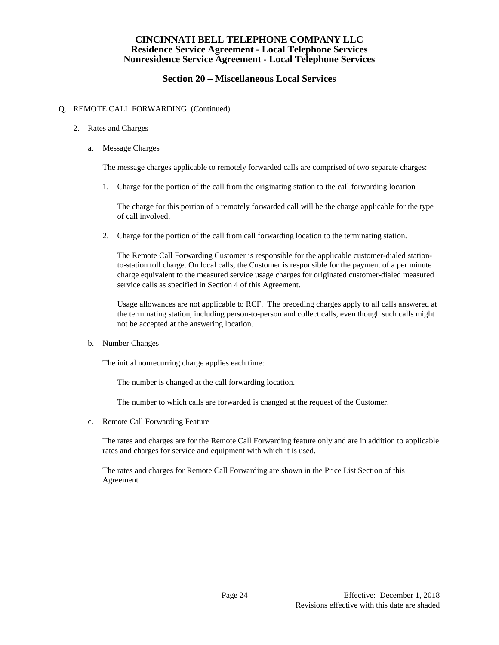# **Section 20 – Miscellaneous Local Services**

### Q. REMOTE CALL FORWARDING (Continued)

- 2. Rates and Charges
	- a. Message Charges

The message charges applicable to remotely forwarded calls are comprised of two separate charges:

1. Charge for the portion of the call from the originating station to the call forwarding location

The charge for this portion of a remotely forwarded call will be the charge applicable for the type of call involved.

2. Charge for the portion of the call from call forwarding location to the terminating station.

The Remote Call Forwarding Customer is responsible for the applicable customer-dialed stationto-station toll charge. On local calls, the Customer is responsible for the payment of a per minute charge equivalent to the measured service usage charges for originated customer-dialed measured service calls as specified in Section 4 of this Agreement.

Usage allowances are not applicable to RCF. The preceding charges apply to all calls answered at the terminating station, including person-to-person and collect calls, even though such calls might not be accepted at the answering location.

b. Number Changes

The initial nonrecurring charge applies each time:

The number is changed at the call forwarding location.

The number to which calls are forwarded is changed at the request of the Customer.

c. Remote Call Forwarding Feature

The rates and charges are for the Remote Call Forwarding feature only and are in addition to applicable rates and charges for service and equipment with which it is used.

The rates and charges for Remote Call Forwarding are shown in the Price List Section of this Agreement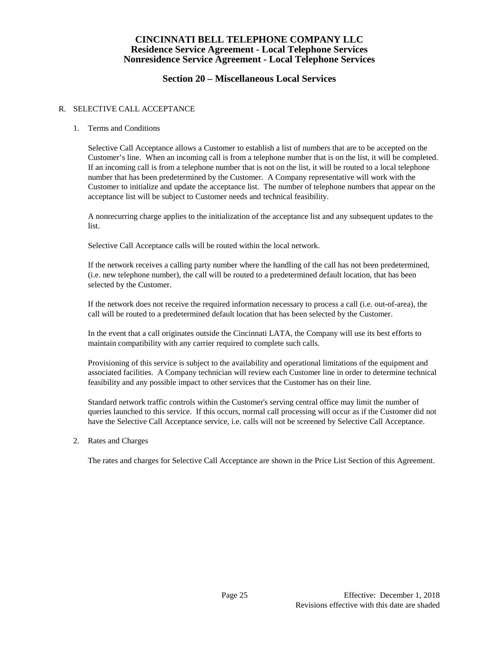# **Section 20 – Miscellaneous Local Services**

### R. SELECTIVE CALL ACCEPTANCE

1. Terms and Conditions

Selective Call Acceptance allows a Customer to establish a list of numbers that are to be accepted on the Customer's line. When an incoming call is from a telephone number that is on the list, it will be completed. If an incoming call is from a telephone number that is not on the list, it will be routed to a local telephone number that has been predetermined by the Customer. A Company representative will work with the Customer to initialize and update the acceptance list. The number of telephone numbers that appear on the acceptance list will be subject to Customer needs and technical feasibility.

A nonrecurring charge applies to the initialization of the acceptance list and any subsequent updates to the list.

Selective Call Acceptance calls will be routed within the local network.

If the network receives a calling party number where the handling of the call has not been predetermined, (i.e. new telephone number), the call will be routed to a predetermined default location, that has been selected by the Customer.

If the network does not receive the required information necessary to process a call (i.e. out-of-area), the call will be routed to a predetermined default location that has been selected by the Customer.

In the event that a call originates outside the Cincinnati LATA, the Company will use its best efforts to maintain compatibility with any carrier required to complete such calls.

Provisioning of this service is subject to the availability and operational limitations of the equipment and associated facilities. A Company technician will review each Customer line in order to determine technical feasibility and any possible impact to other services that the Customer has on their line.

Standard network traffic controls within the Customer's serving central office may limit the number of queries launched to this service. If this occurs, normal call processing will occur as if the Customer did not have the Selective Call Acceptance service, i.e. calls will not be screened by Selective Call Acceptance.

2. Rates and Charges

The rates and charges for Selective Call Acceptance are shown in the Price List Section of this Agreement.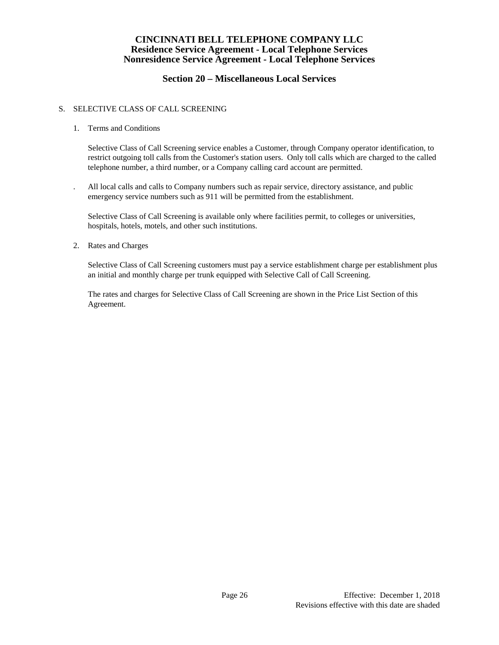# **Section 20 – Miscellaneous Local Services**

## S. SELECTIVE CLASS OF CALL SCREENING

1. Terms and Conditions

Selective Class of Call Screening service enables a Customer, through Company operator identification, to restrict outgoing toll calls from the Customer's station users. Only toll calls which are charged to the called telephone number, a third number, or a Company calling card account are permitted.

. All local calls and calls to Company numbers such as repair service, directory assistance, and public emergency service numbers such as 911 will be permitted from the establishment.

Selective Class of Call Screening is available only where facilities permit, to colleges or universities, hospitals, hotels, motels, and other such institutions.

2. Rates and Charges

Selective Class of Call Screening customers must pay a service establishment charge per establishment plus an initial and monthly charge per trunk equipped with Selective Call of Call Screening.

The rates and charges for Selective Class of Call Screening are shown in the Price List Section of this Agreement.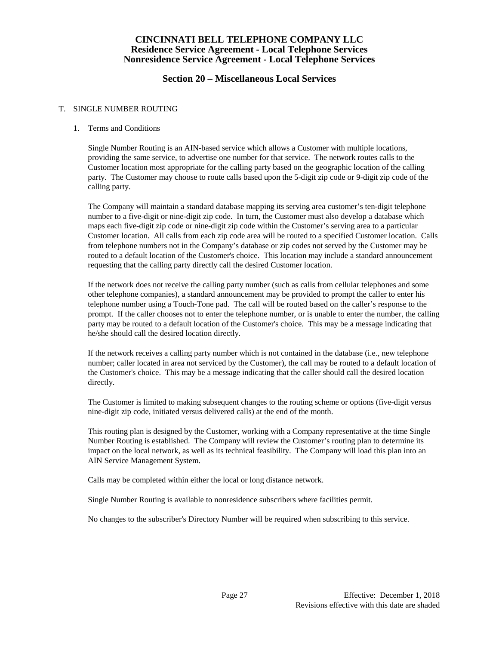## **Section 20 – Miscellaneous Local Services**

### T. SINGLE NUMBER ROUTING

### 1. Terms and Conditions

Single Number Routing is an AIN-based service which allows a Customer with multiple locations, providing the same service, to advertise one number for that service. The network routes calls to the Customer location most appropriate for the calling party based on the geographic location of the calling party. The Customer may choose to route calls based upon the 5-digit zip code or 9-digit zip code of the calling party.

The Company will maintain a standard database mapping its serving area customer's ten-digit telephone number to a five-digit or nine-digit zip code. In turn, the Customer must also develop a database which maps each five-digit zip code or nine-digit zip code within the Customer's serving area to a particular Customer location. All calls from each zip code area will be routed to a specified Customer location. Calls from telephone numbers not in the Company's database or zip codes not served by the Customer may be routed to a default location of the Customer's choice. This location may include a standard announcement requesting that the calling party directly call the desired Customer location.

If the network does not receive the calling party number (such as calls from cellular telephones and some other telephone companies), a standard announcement may be provided to prompt the caller to enter his telephone number using a Touch-Tone pad. The call will be routed based on the caller's response to the prompt. If the caller chooses not to enter the telephone number, or is unable to enter the number, the calling party may be routed to a default location of the Customer's choice. This may be a message indicating that he/she should call the desired location directly.

If the network receives a calling party number which is not contained in the database (i.e., new telephone number; caller located in area not serviced by the Customer), the call may be routed to a default location of the Customer's choice. This may be a message indicating that the caller should call the desired location directly.

The Customer is limited to making subsequent changes to the routing scheme or options (five-digit versus nine-digit zip code, initiated versus delivered calls) at the end of the month.

This routing plan is designed by the Customer, working with a Company representative at the time Single Number Routing is established. The Company will review the Customer's routing plan to determine its impact on the local network, as well as its technical feasibility. The Company will load this plan into an AIN Service Management System.

Calls may be completed within either the local or long distance network.

Single Number Routing is available to nonresidence subscribers where facilities permit.

No changes to the subscriber's Directory Number will be required when subscribing to this service.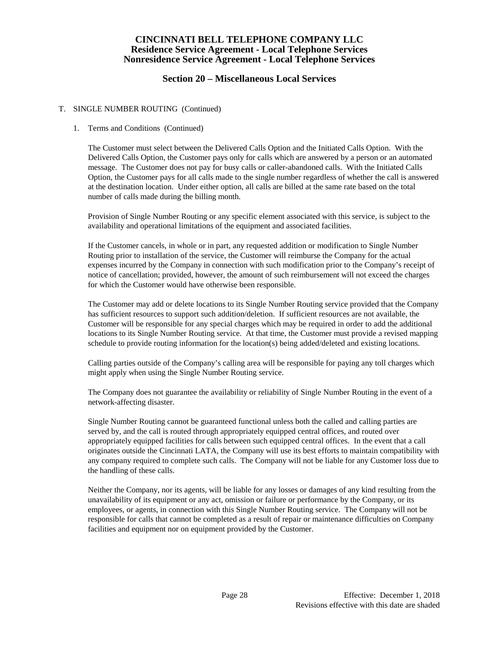## **Section 20 – Miscellaneous Local Services**

### T. SINGLE NUMBER ROUTING (Continued)

### 1. Terms and Conditions (Continued)

The Customer must select between the Delivered Calls Option and the Initiated Calls Option. With the Delivered Calls Option, the Customer pays only for calls which are answered by a person or an automated message. The Customer does not pay for busy calls or caller-abandoned calls. With the Initiated Calls Option, the Customer pays for all calls made to the single number regardless of whether the call is answered at the destination location. Under either option, all calls are billed at the same rate based on the total number of calls made during the billing month.

Provision of Single Number Routing or any specific element associated with this service, is subject to the availability and operational limitations of the equipment and associated facilities.

If the Customer cancels, in whole or in part, any requested addition or modification to Single Number Routing prior to installation of the service, the Customer will reimburse the Company for the actual expenses incurred by the Company in connection with such modification prior to the Company's receipt of notice of cancellation; provided, however, the amount of such reimbursement will not exceed the charges for which the Customer would have otherwise been responsible.

The Customer may add or delete locations to its Single Number Routing service provided that the Company has sufficient resources to support such addition/deletion. If sufficient resources are not available, the Customer will be responsible for any special charges which may be required in order to add the additional locations to its Single Number Routing service. At that time, the Customer must provide a revised mapping schedule to provide routing information for the location(s) being added/deleted and existing locations.

Calling parties outside of the Company's calling area will be responsible for paying any toll charges which might apply when using the Single Number Routing service.

The Company does not guarantee the availability or reliability of Single Number Routing in the event of a network-affecting disaster.

Single Number Routing cannot be guaranteed functional unless both the called and calling parties are served by, and the call is routed through appropriately equipped central offices, and routed over appropriately equipped facilities for calls between such equipped central offices. In the event that a call originates outside the Cincinnati LATA, the Company will use its best efforts to maintain compatibility with any company required to complete such calls. The Company will not be liable for any Customer loss due to the handling of these calls.

Neither the Company, nor its agents, will be liable for any losses or damages of any kind resulting from the unavailability of its equipment or any act, omission or failure or performance by the Company, or its employees, or agents, in connection with this Single Number Routing service. The Company will not be responsible for calls that cannot be completed as a result of repair or maintenance difficulties on Company facilities and equipment nor on equipment provided by the Customer.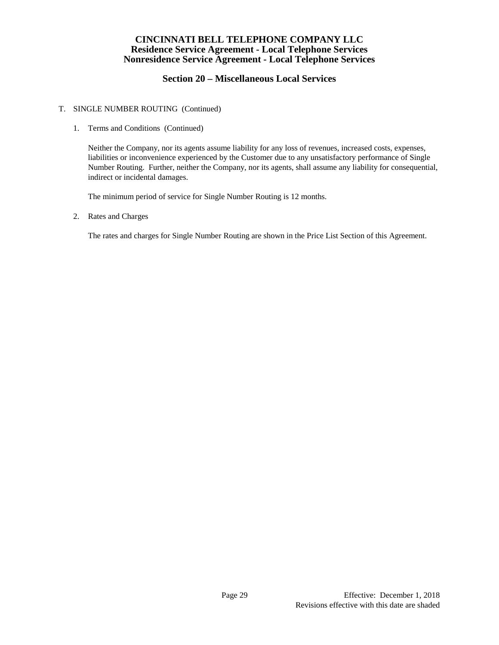# **Section 20 – Miscellaneous Local Services**

### T. SINGLE NUMBER ROUTING (Continued)

### 1. Terms and Conditions (Continued)

Neither the Company, nor its agents assume liability for any loss of revenues, increased costs, expenses, liabilities or inconvenience experienced by the Customer due to any unsatisfactory performance of Single Number Routing. Further, neither the Company, nor its agents, shall assume any liability for consequential, indirect or incidental damages.

The minimum period of service for Single Number Routing is 12 months.

2. Rates and Charges

The rates and charges for Single Number Routing are shown in the Price List Section of this Agreement.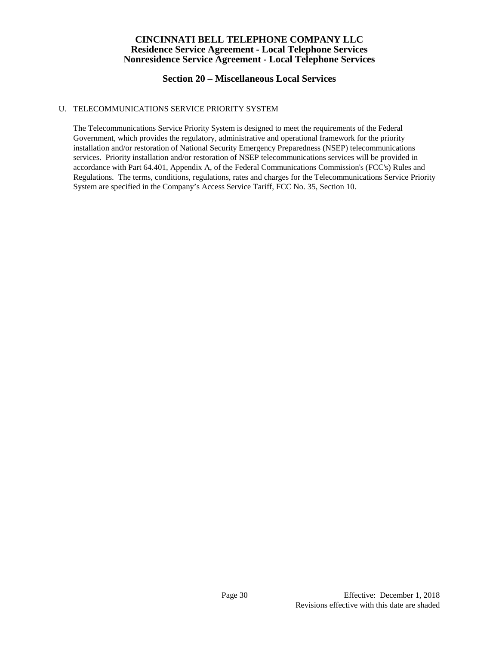# **Section 20 – Miscellaneous Local Services**

### U. TELECOMMUNICATIONS SERVICE PRIORITY SYSTEM

The Telecommunications Service Priority System is designed to meet the requirements of the Federal Government, which provides the regulatory, administrative and operational framework for the priority installation and/or restoration of National Security Emergency Preparedness (NSEP) telecommunications services. Priority installation and/or restoration of NSEP telecommunications services will be provided in accordance with Part 64.401, Appendix A, of the Federal Communications Commission's (FCC's) Rules and Regulations. The terms, conditions, regulations, rates and charges for the Telecommunications Service Priority System are specified in the Company's Access Service Tariff, FCC No. 35, Section 10.